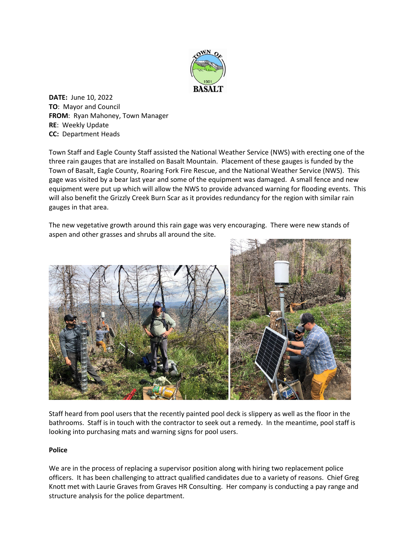

**DATE:** June 10, 2022 **TO**: Mayor and Council **FROM**: Ryan Mahoney, Town Manager **RE**: Weekly Update **CC:** Department Heads

Town Staff and Eagle County Staff assisted the National Weather Service (NWS) with erecting one of the three rain gauges that are installed on Basalt Mountain. Placement of these gauges is funded by the Town of Basalt, Eagle County, Roaring Fork Fire Rescue, and the National Weather Service (NWS). This gage was visited by a bear last year and some of the equipment was damaged. A small fence and new equipment were put up which will allow the NWS to provide advanced warning for flooding events. This will also benefit the Grizzly Creek Burn Scar as it provides redundancy for the region with similar rain gauges in that area.

The new vegetative growth around this rain gage was very encouraging. There were new stands of aspen and other grasses and shrubs all around the site.



Staff heard from pool users that the recently painted pool deck is slippery as well as the floor in the bathrooms. Staff is in touch with the contractor to seek out a remedy. In the meantime, pool staff is looking into purchasing mats and warning signs for pool users.

## **Police**

We are in the process of replacing a supervisor position along with hiring two replacement police officers. It has been challenging to attract qualified candidates due to a variety of reasons. Chief Greg Knott met with Laurie Graves from Graves HR Consulting. Her company is conducting a pay range and structure analysis for the police department.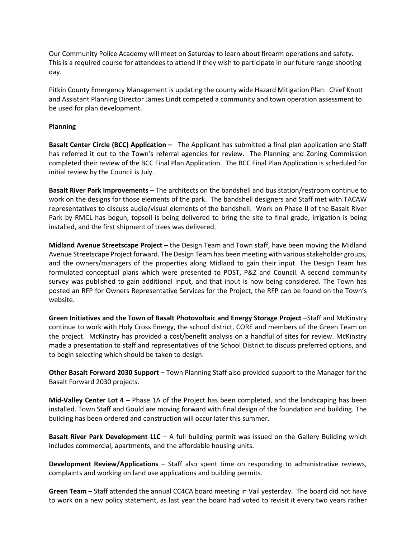Our Community Police Academy will meet on Saturday to learn about firearm operations and safety. This is a required course for attendees to attend if they wish to participate in our future range shooting day.

Pitkin County Emergency Management is updating the county wide Hazard Mitigation Plan. Chief Knott and Assistant Planning Director James Lindt competed a community and town operation assessment to be used for plan development.

## **Planning**

**Basalt Center Circle (BCC) Application –** The Applicant has submitted a final plan application and Staff has referred it out to the Town's referral agencies for review. The Planning and Zoning Commission completed their review of the BCC Final Plan Application. The BCC Final Plan Application is scheduled for initial review by the Council is July.

**Basalt River Park Improvements** – The architects on the bandshell and bus station/restroom continue to work on the designs for those elements of the park. The bandshell designers and Staff met with TACAW representatives to discuss audio/visual elements of the bandshell. Work on Phase II of the Basalt River Park by RMCL has begun, topsoil is being delivered to bring the site to final grade, irrigation is being installed, and the first shipment of trees was delivered.

**Midland Avenue Streetscape Project** – the Design Team and Town staff, have been moving the Midland Avenue Streetscape Project forward. The Design Team has been meeting with various stakeholder groups, and the owners/managers of the properties along Midland to gain their input. The Design Team has formulated conceptual plans which were presented to POST, P&Z and Council. A second community survey was published to gain additional input, and that input is now being considered. The Town has posted an RFP for Owners Representative Services for the Project, the RFP can be found on the Town's website.

**Green Initiatives and the Town of Basalt Photovoltaic and Energy Storage Project** –Staff and McKinstry continue to work with Holy Cross Energy, the school district, CORE and members of the Green Team on the project. McKinstry has provided a cost/benefit analysis on a handful of sites for review. McKinstry made a presentation to staff and representatives of the School District to discuss preferred options, and to begin selecting which should be taken to design.

**Other Basalt Forward 2030 Support** – Town Planning Staff also provided support to the Manager for the Basalt Forward 2030 projects.

**Mid-Valley Center Lot 4** – Phase 1A of the Project has been completed, and the landscaping has been installed. Town Staff and Gould are moving forward with final design of the foundation and building. The building has been ordered and construction will occur later this summer.

**Basalt River Park Development LLC** – A full building permit was issued on the Gallery Building which includes commercial, apartments, and the affordable housing units.

**Development Review/Applications** – Staff also spent time on responding to administrative reviews, complaints and working on land use applications and building permits.

**Green Team** – Staff attended the annual CC4CA board meeting in Vail yesterday. The board did not have to work on a new policy statement, as last year the board had voted to revisit it every two years rather